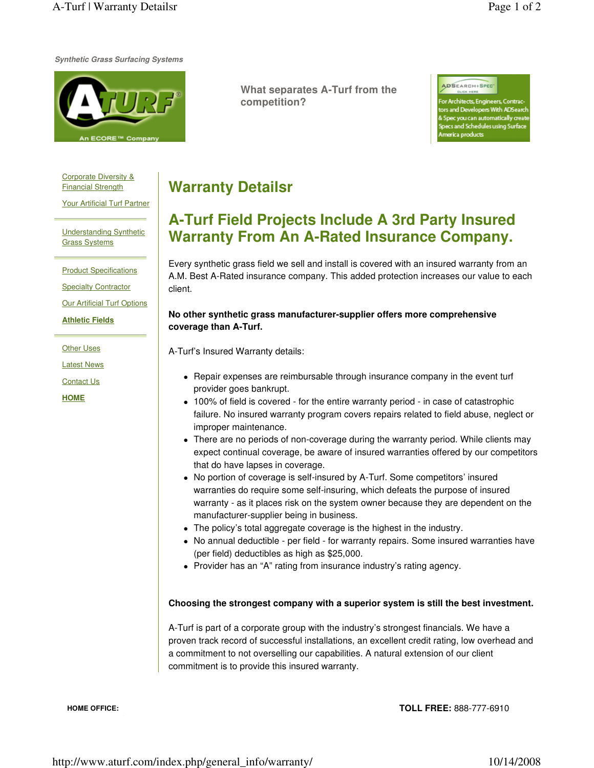**Synthetic Grass Surfacing Systems**



**What separates A-Turf from the competition?**

ADSEARCH+SPEC

hitects, Engineers, Contrac and Developers With ADSearch c you can automatically creat s and Schedules using Surface rica products

Corporate Diversity & Financial Strength

Your Artificial Turf Partner

Understanding Synthetic Grass Systems

**Product Specifications** 

Specialty Contractor

**Our Artificial Turf Options** 

**Athletic Fields**

Other Uses

Latest News

Contact Us

**HOME**

## **Warranty Detailsr**

## **A-Turf Field Projects Include A 3rd Party Insured Warranty From An A-Rated Insurance Company.**

Every synthetic grass field we sell and install is covered with an insured warranty from an A.M. Best A-Rated insurance company. This added protection increases our value to each client.

## **No other synthetic grass manufacturer-supplier offers more comprehensive coverage than A-Turf.**

A-Turf's Insured Warranty details:

- Repair expenses are reimbursable through insurance company in the event turf provider goes bankrupt.
- 100% of field is covered for the entire warranty period in case of catastrophic failure. No insured warranty program covers repairs related to field abuse, neglect or improper maintenance.
- There are no periods of non-coverage during the warranty period. While clients may expect continual coverage, be aware of insured warranties offered by our competitors that do have lapses in coverage.
- No portion of coverage is self-insured by A-Turf. Some competitors' insured warranties do require some self-insuring, which defeats the purpose of insured warranty - as it places risk on the system owner because they are dependent on the manufacturer-supplier being in business.
- The policy's total aggregate coverage is the highest in the industry.
- No annual deductible per field for warranty repairs. Some insured warranties have (per field) deductibles as high as \$25,000.
- Provider has an "A" rating from insurance industry's rating agency.

## **Choosing the strongest company with a superior system is still the best investment.**

A-Turf is part of a corporate group with the industry's strongest financials. We have a proven track record of successful installations, an excellent credit rating, low overhead and a commitment to not overselling our capabilities. A natural extension of our client commitment is to provide this insured warranty.

**HOME OFFICE:** 

**TOLL FREE:** 888-777-6910

http://www.aturf.com/index.php/general\_info/warranty/ 10/14/2008